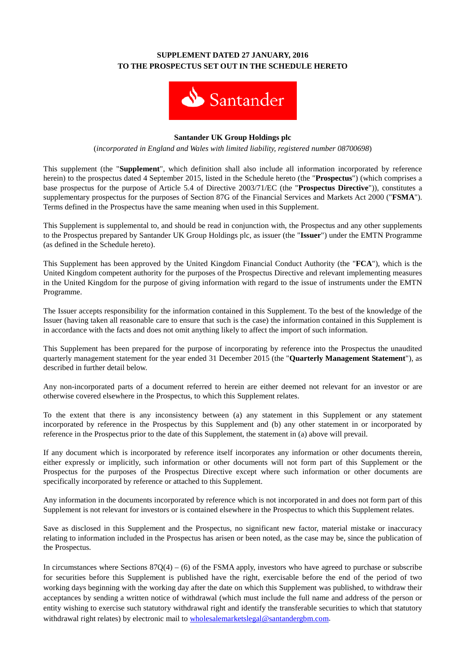# **SUPPLEMENT DATED 27 JANUARY, 2016 TO THE PROSPECTUS SET OUT IN THE SCHEDULE HERETO**



#### **Santander UK Group Holdings plc**

(*incorporated in England and Wales with limited liability, registered number 08700698*)

This supplement (the "**Supplement**", which definition shall also include all information incorporated by reference herein) to the prospectus dated 4 September 2015, listed in the Schedule hereto (the "**Prospectus**") (which comprises a base prospectus for the purpose of Article 5.4 of Directive 2003/71/EC (the "**Prospectus Directive**")), constitutes a supplementary prospectus for the purposes of Section 87G of the Financial Services and Markets Act 2000 ("**FSMA**"). Terms defined in the Prospectus have the same meaning when used in this Supplement.

This Supplement is supplemental to, and should be read in conjunction with, the Prospectus and any other supplements to the Prospectus prepared by Santander UK Group Holdings plc, as issuer (the "**Issuer**") under the EMTN Programme (as defined in the Schedule hereto).

This Supplement has been approved by the United Kingdom Financial Conduct Authority (the "**FCA**"), which is the United Kingdom competent authority for the purposes of the Prospectus Directive and relevant implementing measures in the United Kingdom for the purpose of giving information with regard to the issue of instruments under the EMTN Programme.

The Issuer accepts responsibility for the information contained in this Supplement. To the best of the knowledge of the Issuer (having taken all reasonable care to ensure that such is the case) the information contained in this Supplement is in accordance with the facts and does not omit anything likely to affect the import of such information.

This Supplement has been prepared for the purpose of incorporating by reference into the Prospectus the unaudited quarterly management statement for the year ended 31 December 2015 (the "**Quarterly Management Statement**"), as described in further detail below.

Any non-incorporated parts of a document referred to herein are either deemed not relevant for an investor or are otherwise covered elsewhere in the Prospectus, to which this Supplement relates.

To the extent that there is any inconsistency between (a) any statement in this Supplement or any statement incorporated by reference in the Prospectus by this Supplement and (b) any other statement in or incorporated by reference in the Prospectus prior to the date of this Supplement, the statement in (a) above will prevail.

If any document which is incorporated by reference itself incorporates any information or other documents therein, either expressly or implicitly, such information or other documents will not form part of this Supplement or the Prospectus for the purposes of the Prospectus Directive except where such information or other documents are specifically incorporated by reference or attached to this Supplement.

Any information in the documents incorporated by reference which is not incorporated in and does not form part of this Supplement is not relevant for investors or is contained elsewhere in the Prospectus to which this Supplement relates.

Save as disclosed in this Supplement and the Prospectus, no significant new factor, material mistake or inaccuracy relating to information included in the Prospectus has arisen or been noted, as the case may be, since the publication of the Prospectus.

In circumstances where Sections  $87Q(4) - (6)$  of the FSMA apply, investors who have agreed to purchase or subscribe for securities before this Supplement is published have the right, exercisable before the end of the period of two working days beginning with the working day after the date on which this Supplement was published, to withdraw their acceptances by sending a written notice of withdrawal (which must include the full name and address of the person or entity wishing to exercise such statutory withdrawal right and identify the transferable securities to which that statutory withdrawal right relates) by electronic mail to [wholesalemarketslegal@santandergbm.com.](mailto:wholesalemarketslegal@santandergbm.com)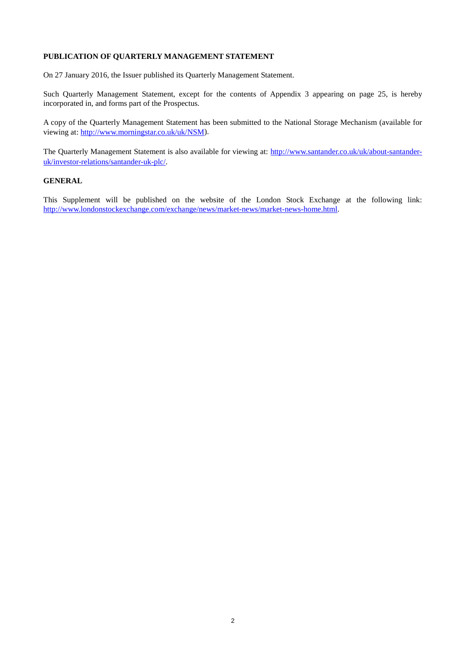## **PUBLICATION OF QUARTERLY MANAGEMENT STATEMENT**

On 27 January 2016, the Issuer published its Quarterly Management Statement.

Such Quarterly Management Statement, except for the contents of Appendix 3 appearing on page 25, is hereby incorporated in, and forms part of the Prospectus.

A copy of the Quarterly Management Statement has been submitted to the National Storage Mechanism (available for viewing at: [http://www.morningstar.co.uk/uk/NSM\)](http://www.morningstar.co.uk/uk/NSM).

The Quarterly Management Statement is also available for viewing at: [http://www.santander.co.uk/uk/about-santander](http://www.santander.co.uk/uk/about-santander-uk/investor-relations/santander-uk-plc/)[uk/investor-relations/santander-uk-plc/.](http://www.santander.co.uk/uk/about-santander-uk/investor-relations/santander-uk-plc/)

#### **GENERAL**

This Supplement will be published on the website of the London Stock Exchange at the following link: [http://www.londonstockexchange.com/exchange/news/market-news/market-news-home.html.](http://www.londonstockexchange.com/exchange/news/market-news/market-news-home.html)